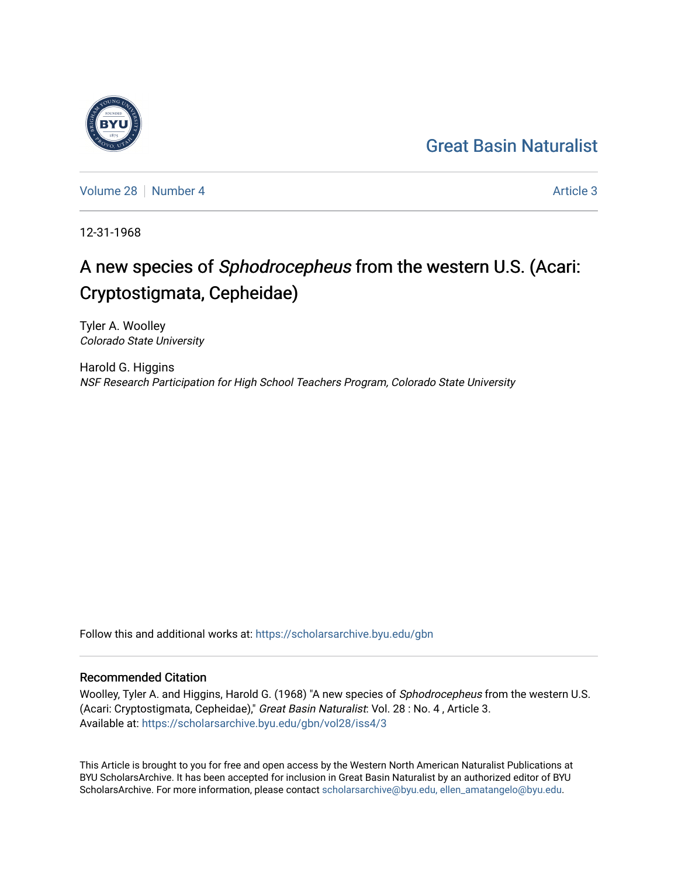## [Great Basin Naturalist](https://scholarsarchive.byu.edu/gbn)

[Volume 28](https://scholarsarchive.byu.edu/gbn/vol28) [Number 4](https://scholarsarchive.byu.edu/gbn/vol28/iss4) Article 3

12-31-1968

# A new species of Sphodrocepheus from the western U.S. (Acari: Cryptostigmata, Cepheidae)

Tyler A. Woolley Colorado State University

Harold G. Higgins NSF Research Participation for High School Teachers Program, Colorado State University

Follow this and additional works at: [https://scholarsarchive.byu.edu/gbn](https://scholarsarchive.byu.edu/gbn?utm_source=scholarsarchive.byu.edu%2Fgbn%2Fvol28%2Fiss4%2F3&utm_medium=PDF&utm_campaign=PDFCoverPages) 

### Recommended Citation

Woolley, Tyler A. and Higgins, Harold G. (1968) "A new species of Sphodrocepheus from the western U.S. (Acari: Cryptostigmata, Cepheidae)," Great Basin Naturalist: Vol. 28 : No. 4 , Article 3. Available at: [https://scholarsarchive.byu.edu/gbn/vol28/iss4/3](https://scholarsarchive.byu.edu/gbn/vol28/iss4/3?utm_source=scholarsarchive.byu.edu%2Fgbn%2Fvol28%2Fiss4%2F3&utm_medium=PDF&utm_campaign=PDFCoverPages)

This Article is brought to you for free and open access by the Western North American Naturalist Publications at BYU ScholarsArchive. It has been accepted for inclusion in Great Basin Naturalist by an authorized editor of BYU ScholarsArchive. For more information, please contact [scholarsarchive@byu.edu, ellen\\_amatangelo@byu.edu.](mailto:scholarsarchive@byu.edu,%20ellen_amatangelo@byu.edu)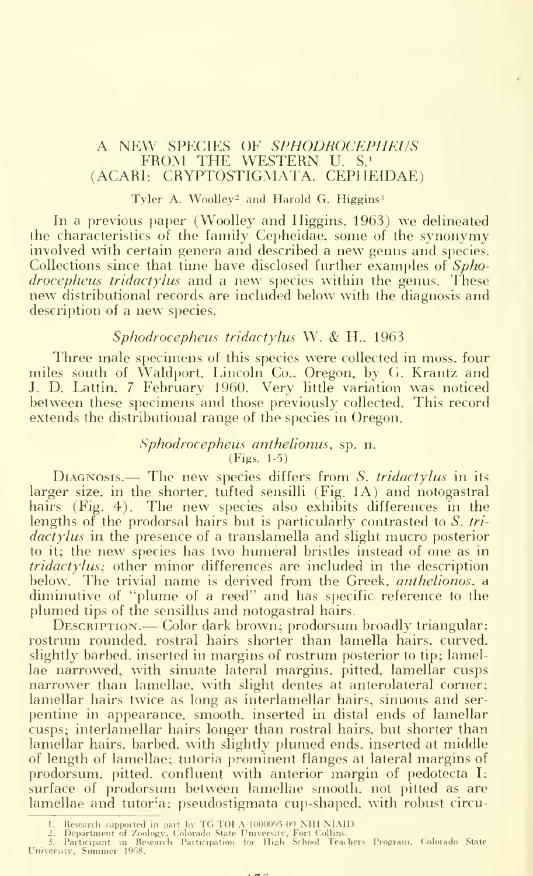### A NEW SPECIES OF SPHODROCEPHEUS<br>FROM THE WESTERN U. S.<sup>1</sup> (ACARI: CRYPTOSTIGMATA, CEPHEIDAE)

#### Tyler A. Woolley<sup>2</sup> and Harold G. Higgins<sup>3</sup>

In a previous paper (Woolley and Higgins, 1963) we delineated the characteristics of the family Cepheidae, some of the synonymy involved with certain genera and described <sup>a</sup> new genus and species. Collections since that time have disclosed further examples of Sphodrocepheus tridactylus and a new species within the genus. These new distributional records are included below with the diagnosis and description of <sup>a</sup> new species.

#### Sphodrocepheus tridactylus W. & H.. 1963

Three male specimens of this species were collected in moss, four miles south of Waldport, Lincoln Co., Oregon, by G. Krantz and J. D. Lattin, <sup>7</sup> February 1960. Very little variation was noticed between these specimens and those previously collected. This record extends the distributional range of the species in Oregon.

#### Sphodrocepheus anthelionus, sp. n. (Figs. 1-5)

 $D_{IAGNOSIS.}$ — The new species differs from S. tridactylus in its larger size, in the shorter, tufted sensilli (Fig. 1A) and notogastral hairs (Fig. 4). The new species also exhibits differences in the lengths of the prodorsal hairs but is particularly contrasted to S. tridactylus in the presence of a translamella and slight mucro posterior to it; the new species has two humeral bristles instead of one as in tridactylus; other minor differences are included in the description below. The trivial name is derived from the Greek, *anthelionos*, a diminutive of "plume of a reed" and has specific reference to the plumed tips of the sensillus and notogastral hairs.

Description.— Color dark brown; prodorsum broadly triangular; rostrum rounded, rostral hairs shorter than lamella hairs, curved, slightly barbed, inserted in margins of rostrum posterior to tip; lamellae narrowed, with sinuate lateral margins, pitted, lamellar cusps narrower than lamellae, with slight dentes at anterolateral corner; lamellar hairs twice as long as interlamellar hairs, sinuous and ser pentine in appearance, smooth, inserted in distal ends of lamellar cusps; interlamellar hairs longer than rostral hairs, but shorter than lamellar hairs, barbed, with slightly plumed ends, inserted at middle of length of lamellae; tutoria prominent flanges at lateral margins of prodorsum. pitted, confluent with anterior margin of pedotecta I; surface of prodorsum between lamellae smooth, not pitted as are lamellae and tutoria; pseudostigmata cup-shaped, with robust circu-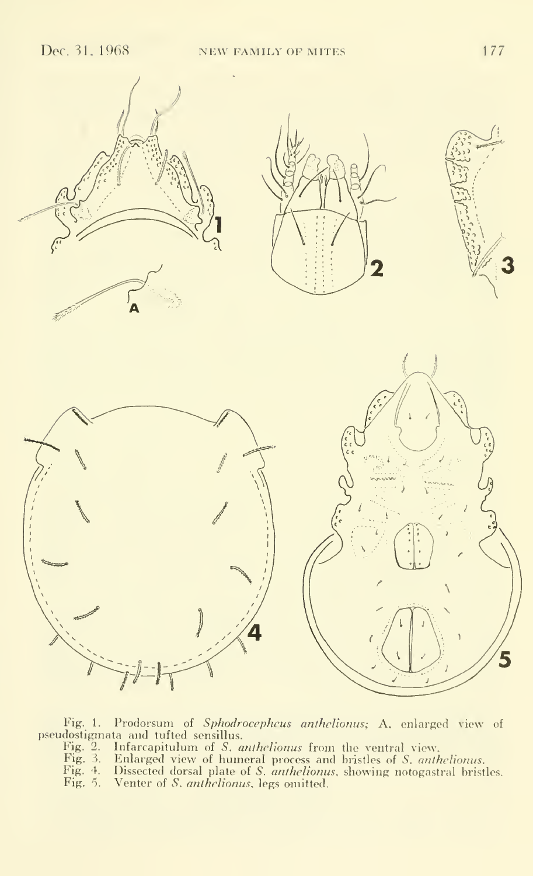

Fig. 1. Prodorsum of *Sphodrocepheus anthelionus*; A, enlarged view of pseudostigmata and tufted sensillus.

Fig. 2. Infarcapitulum of *S. anthelionus* from the ventral view.<br>Fig. 3. Enlarged view of humeral process and bristles of *S. anthelionus.* 

Fig. 4. Dissected dorsal plate of *S. anthelionus*, showing notogastral bristles. Fig. 5. Venter of *S. anthelionus*, legs omitted.